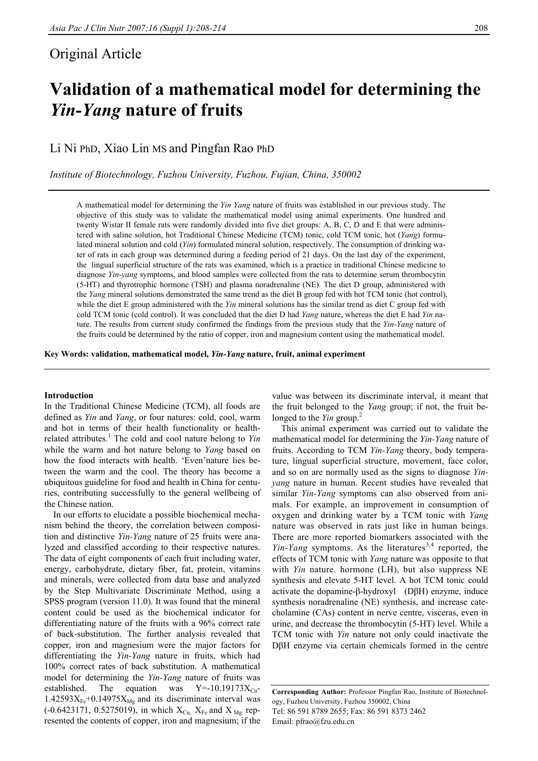# Original Article

# **Validation of a mathematical model for determining the**  *Yin-Yang* **nature of fruits**

Li Ni PhD, Xiao Lin MS and Pingfan Rao PhD

*Institute of Biotechnology, Fuzhou University, Fuzhou, Fujian, China, 350002* 

A mathematical model for determining the *Yin Yang* nature of fruits was established in our previous study. The objective of this study was to validate the mathematical model using animal experiments. One hundred and twenty Wistar II female rats were randomly divided into five diet groups: A, B, C, D and E that were administered with saline solution, hot Traditional Chinese Medicine (TCM) tonic, cold TCM tonic, hot (*Yang*) formulated mineral solution and cold (*Yin*) formulated mineral solution, respectively. The consumption of drinking water of rats in each group was determined during a feeding period of 21 days. On the last day of the experiment, the lingual superficial structure of the rats was examined, which is a practice in traditional Chinese medicine to diagnose *Yin-yang* symptoms, and blood samples were collected from the rats to determine serum thrombocytin (5-HT) and thyrotrophic hormone (TSH) and plasma noradrenaline (NE). The diet D group, administered with the *Yang* mineral solutions demonstrated the same trend as the diet B group fed with hot TCM tonic (hot control), while the diet E group administered with the *Yin* mineral solutions has the similar trend as diet C group fed with cold TCM tonic (cold control). It was concluded that the diet D had *Yang* nature, whereas the diet E had *Yin* nature. The results from current study confirmed the findings from the previous study that the *Yin-Yang* nature of the fruits could be determined by the ratio of copper, iron and magnesium content using the mathematical model.

**Key Words: validation, mathematical model,** *Yin-Yang* **nature, fruit, animal experiment** 

#### **Introduction**

In the Traditional Chinese Medicine (TCM), all foods are defined as *Yin* and *Yang*, or four natures: cold, cool, warm and hot in terms of their health functionality or healthrelated attributes.<sup>1</sup> The cold and cool nature belong to *Yin* while the warm and hot nature belong to *Yang* based on how the food interacts with health. 'Even'nature lies between the warm and the cool. The theory has become a ubiquitous guideline for food and health in China for centuries, contributing successfully to the general wellbeing of the Chinese nation.

 In our efforts to elucidate a possible biochemical mechanism behind the theory, the correlation between composition and distinctive *Yin-Yang* nature of 25 fruits were analyzed and classified according to their respective natures. The data of eight components of each fruit including water, energy, carbohydrate, dietary fiber, fat, protein, vitamins and minerals, were collected from data base and analyzed by the Step Multivariate Discriminate Method, using a SPSS program (version 11.0). It was found that the mineral content could be used as the biochemical indicator for differentiating nature of the fruits with a 96% correct rate of back-substitution. The further analysis revealed that copper, iron and magnesium were the major factors for differentiating the *Yin-Yang* nature in fruits, which had 100% correct rates of back substitution. A mathematical model for determining the *Yin-Yang* nature of fruits was established. The equation was  $Y=10.19173X_{Cu}$ - $1.42593X_{Fe}+0.14975X_{Mg}$  and its discriminate interval was (-0.6423171, 0.5275019), in which  $X_{Cu}$ ,  $X_{Fe}$  and  $X_{Mg}$  represented the contents of copper, iron and magnesium; if the

value was between its discriminate interval, it meant that the fruit belonged to the *Yang* group; if not, the fruit belonged to the *Yin* group.<sup>2</sup>

 This animal experiment was carried out to validate the mathematical model for determining the *Yin-Yang* nature of fruits. According to TCM *Yin-Yang* theory, body temperature, lingual superficial structure, movement, face color, and so on are normally used as the signs to diagnose *Yinyang* nature in human. Recent studies have revealed that similar *Yin-Yang* symptoms can also observed from animals. For example, an improvement in consumption of oxygen and drinking water by a TCM tonic with *Yang*  nature was observed in rats just like in human beings. There are more reported biomarkers associated with the *Yin-Yang* symptoms. As the literatures<sup>3,4</sup> reported, the effects of TCM tonic with *Yang* nature was opposite to that with *Yin* nature. hormone (LH), but also suppress NE synthesis and elevate 5-HT level. A hot TCM tonic could activate the dopamine-β-hydroxyl (DβH) enzyme, induce synthesis noradrenaline (NE) synthesis, and increase catecholamine (CAs) content in nerve centre, visceras, even in urine, and decrease the thrombocytin (5-HT) level. While a TCM tonic with *Yin* nature not only could inactivate the DβH enzyme via certain chemicals formed in the centre

**Corresponding Author:** Professor Pingfan Rao, Institute of Biotechnology, Fuzhou University, Fuzhou 350002, China Tel: 86 591 8789 2655; Fax: 86 591 8373 2462 Email: [pfrao@fzu.edu.cn](mailto:pfrao@fzu.edu.cn)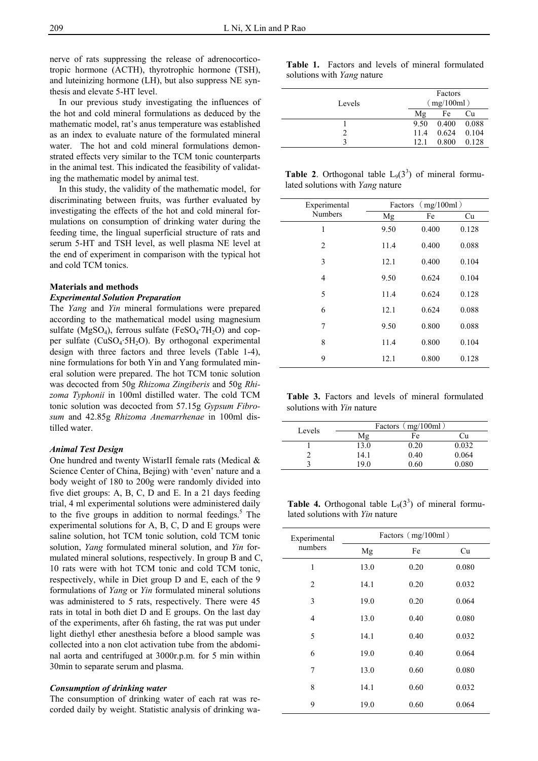nerve of rats suppressing the release of adrenocorticotropic hormone (ACTH), thyrotrophic hormone (TSH), and luteinizing hormone (LH), but also suppress NE synthesis and elevate 5-HT level.

In our previous study investigating the influences of the hot and cold mineral formulations as deduced by the mathematic model, rat's anus temperature was established as an index to evaluate nature of the formulated mineral water. The hot and cold mineral formulations demonstrated effects very similar to the TCM tonic counterparts in the animal test. This indicated the feasibility of validating the mathematic model by animal test.

 In this study, the validity of the mathematic model, for discriminating between fruits, was further evaluated by investigating the effects of the hot and cold mineral formulations on consumption of drinking water during the feeding time, the lingual superficial structure of rats and serum 5-HT and TSH level, as well plasma NE level at the end of experiment in comparison with the typical hot and cold TCM tonics.

# **Materials and methods**

# *Experimental Solution Preparation*

The *Yang* and *Yin* mineral formulations were prepared according to the mathematical model using magnesium sulfate (MgSO<sub>4</sub>), ferrous sulfate (FeSO<sub>4</sub>·7H<sub>2</sub>O) and copper sulfate ( $CuSO<sub>4</sub>·5H<sub>2</sub>O$ ). By orthogonal experimental design with three factors and three levels (Table 1-4), nine formulations for both Yin and Yang formulated mineral solution were prepared. The hot TCM tonic solution was decocted from 50g *Rhizoma Zingiberis* and 50g *Rhizoma Typhonii* in 100ml distilled water. The cold TCM tonic solution was decocted from 57.15g *Gypsum Fibrosum* and 42.85g *Rhizoma Anemarrhenae* in 100ml distilled water.

## *Animal Test Design*

One hundred and twenty WistarII female rats (Medical & Science Center of China, Bejing) with 'even' nature and a body weight of 180 to 200g were randomly divided into five diet groups: A, B, C, D and E. In a 21 days feeding trial, 4 ml experimental solutions were administered daily to the five groups in addition to normal feedings. $5$  The experimental solutions for A, B, C, D and E groups were saline solution, hot TCM tonic solution, cold TCM tonic solution, *Yang* formulated mineral solution, and *Yin* formulated mineral solutions, respectively. In group B and C, 10 rats were with hot TCM tonic and cold TCM tonic, respectively, while in Diet group D and E, each of the 9 formulations of *Yang* or *Yin* formulated mineral solutions was administered to 5 rats, respectively. There were 45 rats in total in both diet D and E groups. On the last day of the experiments, after 6h fasting, the rat was put under light diethyl ether anesthesia before a blood sample was collected into a non clot activation tube from the abdominal aorta and centrifuged at 3000r.p.m. for 5 min within 30min to separate serum and plasma.

# *Consumption of drinking water*

The consumption of drinking water of each rat was recorded daily by weight. Statistic analysis of drinking wa-

|  |                            |  |  | <b>Table 1.</b> Factors and levels of mineral formulated |
|--|----------------------------|--|--|----------------------------------------------------------|
|  | solutions with Yang nature |  |  |                                                          |

| Levels | Factors<br>(mg/100ml) |       |       |
|--------|-----------------------|-------|-------|
|        | Mε                    | Fe    | Cu    |
|        | 9.50                  | 0.400 | 0.088 |
|        | 11.4                  | 0.624 | 0.104 |
|        | 12.1                  | 0.800 | 0.128 |

**Table 2.** Orthogonal table  $L_9(3^3)$  of mineral formulated solutions with *Yang* nature

| Experimental   | Factors | (mg/100ml) |       |
|----------------|---------|------------|-------|
| <b>Numbers</b> | Mg      | Fe         | Cu    |
| 1              | 9.50    | 0.400      | 0.128 |
| $\overline{c}$ | 11.4    | 0.400      | 0.088 |
| 3              | 12.1    | 0.400      | 0.104 |
| 4              | 9.50    | 0.624      | 0.104 |
| 5              | 11.4    | 0.624      | 0.128 |
| 6              | 12.1    | 0.624      | 0.088 |
| 7              | 9.50    | 0.800      | 0.088 |
| 8              | 11.4    | 0.800      | 0.104 |
| 9              | 12.1    | 0.800      | 0.128 |
|                |         |            |       |

**Table 3.** Factors and levels of mineral formulated solutions with *Yin* nature

| Levels |      | Factors (mg/100ml) |       |
|--------|------|--------------------|-------|
|        | Mε   | Fe                 | Λu    |
|        | 13.0 | 0.20               | 0.032 |
|        | 14.1 | 0.40               | 0.064 |
|        | 19 0 | 0.60               | 0.080 |

**Table 4.** Orthogonal table  $L_9(3^3)$  of mineral formulated solutions with *Yin* nature

| Experimental   | Factors (mg/100ml) |      |       |  |
|----------------|--------------------|------|-------|--|
| numbers        | Mg                 | Fe   | Cu    |  |
| 1              | 13.0               | 0.20 | 0.080 |  |
| $\overline{c}$ | 14.1               | 0.20 | 0.032 |  |
| 3              | 19.0               | 0.20 | 0.064 |  |
| 4              | 13.0               | 0.40 | 0.080 |  |
| 5              | 14.1               | 0.40 | 0.032 |  |
| 6              | 19.0               | 0.40 | 0.064 |  |
| 7              | 13.0               | 0.60 | 0.080 |  |
| 8              | 14.1               | 0.60 | 0.032 |  |
| 9              | 19.0               | 0.60 | 0.064 |  |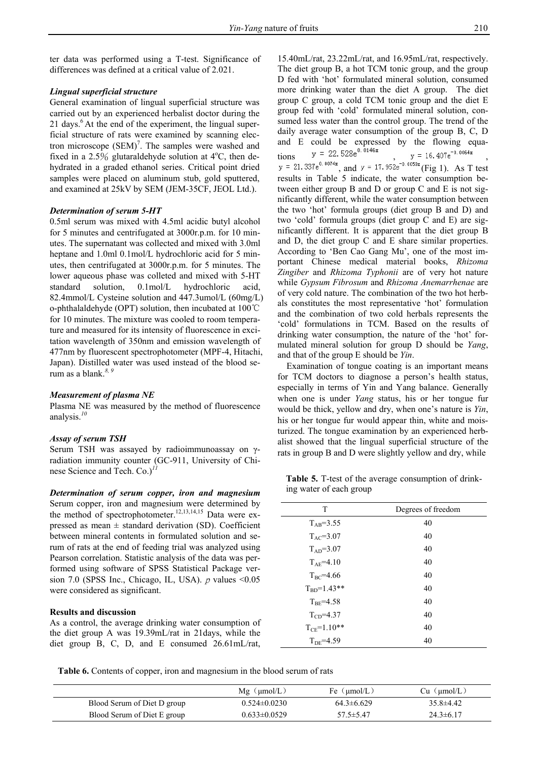ter data was performed using a T-test. Significance of differences was defined at a critical value of 2.021.

## *Lingual superficial structure*

General examination of lingual superficial structure was carried out by an experienced herbalist doctor during the 21 days. $6$  At the end of the experiment, the lingual superficial structure of rats were examined by scanning electron microscope  $(SEM)^7$ . The samples were washed and fixed in a 2.5% glutaraldehyde solution at  $4^{\circ}$ C, then dehydrated in a graded ethanol series. Critical point dried samples were placed on aluminum stub, gold sputtered, and examined at 25kV by SEM (JEM-35CF, JEOL Ltd.).

#### *Determination of serum 5-HT*

0.5ml serum was mixed with 4.5ml acidic butyl alcohol for 5 minutes and centrifugated at 3000r.p.m. for 10 minutes. The supernatant was collected and mixed with 3.0ml heptane and 1.0ml 0.1mol/L hydrochloric acid for 5 minutes, then centrifugated at 3000r.p.m. for 5 minutes. The lower aqueous phase was colleted and mixed with 5-HT standard solution, 0.1mol/L hydrochloric acid, 82.4mmol/L Cysteine solution and 447.3umol/L (60mg/L) o-phthalaldehyde (OPT) solution, then incubated at 100℃ for 10 minutes. The mixture was cooled to room temperature and measured for its intensity of fluorescence in excitation wavelength of 350nm and emission wavelength of 477nm by fluorescent spectrophotometer (MPF-4, Hitachi, Japan). Distilled water was used instead of the blood serum as a blank.*8, 9*

#### *Measurement of plasma NE*

Plasma NE was measured by the method of fluorescence analysis.*<sup>10</sup>*

#### *Assay of serum TSH*

Serum TSH was assayed by radioimmunoassay on γradiation immunity counter (GC-911, University of Chinese Science and Tech. Co.)*<sup>11</sup>*

*Determination of serum copper, iron and magnesium*  Serum copper, iron and magnesium were determined by the method of spectrophotometer.<sup>12,13,14,15</sup> Data were expressed as mean  $\pm$  standard derivation (SD). Coefficient between mineral contents in formulated solution and serum of rats at the end of feeding trial was analyzed using Pearson correlation. Statistic analysis of the data was performed using software of SPSS Statistical Package version 7.0 (SPSS Inc., Chicago, IL, USA).  $p$  values <0.05 were considered as significant.

# **Results and discussion**

As a control, the average drinking water consumption of the diet group A was 19.39mL/rat in 21days, while the diet group B, C, D, and E consumed 26.61mL/rat,

15.40mL/rat, 23.22mL/rat, and 16.95mL/rat, respectively. The diet group B, a hot TCM tonic group, and the group D fed with 'hot' formulated mineral solution, consumed more drinking water than the diet A group. The diet group C group, a cold TCM tonic group and the diet E group fed with 'cold' formulated mineral solution, consumed less water than the control group. The trend of the daily average water consumption of the group B, C, D and E could be expressed by the flowing equa-<br>tions  $y = 22.528e^{0.0146x}$   $v = 16.407e^{-0.0064x}$ tions  $y = 22.528e^{-x}$ ,  $y = 16.407e^{-0.0064x}$ , , and  $y = 17.952e^{-0.0035x}$  (Fig 1). As T test results in Table 5 indicate, the water consumption between either group B and D or group C and E is not significantly different, while the water consumption between the two 'hot' formula groups (diet group B and D) and two 'cold' formula groups (diet group C and E) are significantly different. It is apparent that the diet group B and D, the diet group C and E share similar properties. According to 'Ben Cao Gang Mu', one of the most important Chinese medical material books, *Rhizoma Zingiber* and *Rhizoma Typhonii* are of very hot nature while *Gypsum Fibrosum* and *Rhizoma Anemarrhenae* are of very cold nature. The combination of the two hot herbals constitutes the most representative 'hot' formulation and the combination of two cold herbals represents the 'cold' formulations in TCM. Based on the results of drinking water consumption, the nature of the 'hot' formulated mineral solution for group D should be *Yang*, and that of the group E should be *Yin*.

 Examination of tongue coating is an important means for TCM doctors to diagnose a person's health status, especially in terms of Yin and Yang balance. Generally when one is under *Yang* status, his or her tongue fur would be thick, yellow and dry, when one's nature is *Yin*, his or her tongue fur would appear thin, white and moisturized. The tongue examination by an experienced herbalist showed that the lingual superficial structure of the rats in group B and D were slightly yellow and dry, while

**Table 5.** T-test of the average consumption of drinking water of each group

| Degrees of freedom |
|--------------------|
| 40                 |
| 40                 |
| 40                 |
| 40                 |
| 40                 |
| 40                 |
| 40                 |
| 40                 |
| 40                 |
| 40                 |
|                    |

**Table 6.** Contents of copper, iron and magnesium in the blood serum of rats

|                             | $Mg \ (µmol/L)$    | Fe $(\mu \text{mol/L})$ | $Cu \ (µmol/L)$ |
|-----------------------------|--------------------|-------------------------|-----------------|
| Blood Serum of Diet D group | $0.524 \pm 0.0230$ | $64.3 \pm 6.629$        | $35.8\pm4.42$   |
| Blood Serum of Diet E group | $0.633 \pm 0.0529$ | $57.5 \pm 5.47$         | $24.3\pm 6.17$  |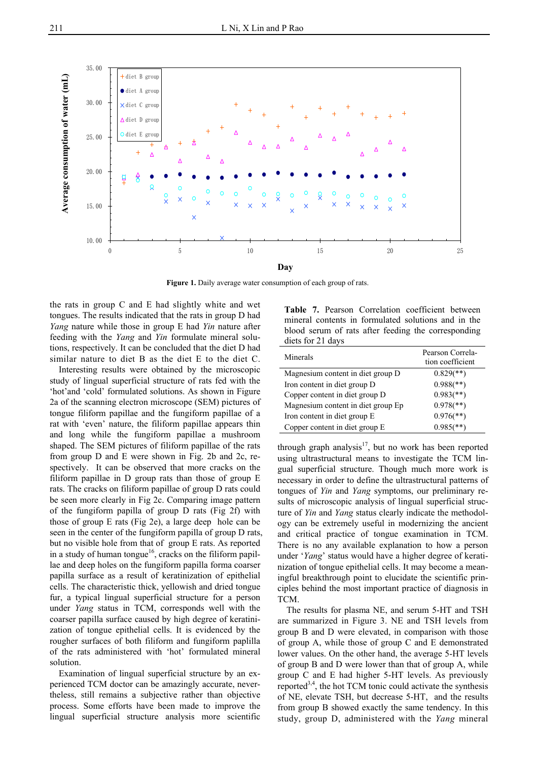

**Figure 1.** Daily average water consumption of each group of rats.

the rats in group C and E had slightly white and wet tongues. The results indicated that the rats in group D had *Yang* nature while those in group E had *Yin* nature after feeding with the *Yang* and *Yin* formulate mineral solutions, respectively. It can be concluded that the diet D had similar nature to diet B as the diet E to the diet C.

 Interesting results were obtained by the microscopic study of lingual superficial structure of rats fed with the 'hot'and 'cold' formulated solutions. As shown in Figure 2a of the scanning electron microscope (SEM) pictures of tongue filiform papillae and the fungiform papillae of a rat with 'even' nature, the filiform papillae appears thin and long while the fungiform papillae a mushroom shaped. The SEM pictures of filiform papillae of the rats from group D and E were shown in Fig. 2b and 2c, respectively. It can be observed that more cracks on the filiform papillae in D group rats than those of group E rats. The cracks on filiform papillae of group D rats could be seen more clearly in Fig 2c. Comparing image pattern of the fungiform papilla of group D rats (Fig 2f) with those of group E rats (Fig 2e), a large deep hole can be seen in the center of the fungiform papilla of group D rats, but no visible hole from that of group E rats. As reported in a study of human tongue<sup>16</sup>, cracks on the filiform papillae and deep holes on the fungiform papilla forma coarser papilla surface as a result of keratinization of epithelial cells. The characteristic thick, yellowish and dried tongue fur, a typical lingual superficial structure for a person under *Yang* status in TCM, corresponds well with the coarser papilla surface caused by high degree of keratinization of tongue epithelial cells. It is evidenced by the rougher surfaces of both filiform and fungiform paplilla of the rats administered with 'hot' formulated mineral solution.

 Examination of lingual superficial structure by an experienced TCM doctor can be amazingly accurate, nevertheless, still remains a subjective rather than objective process. Some efforts have been made to improve the lingual superficial structure analysis more scientific

Table 7. Pearson Correlation coefficient between mineral contents in formulated solutions and in the blood serum of rats after feeding the corresponding diets for 21 days

| Minerals                           | Pearson Correla-<br>tion coefficient |
|------------------------------------|--------------------------------------|
| Magnesium content in diet group D  | $0.829$ <sup>**</sup> )              |
| Iron content in diet group D       | $0.988$ <sup>**</sup> )              |
| Copper content in diet group D     | $0.983$ <sup>**</sup> )              |
| Magnesium content in diet group Ep | $0.978$ <sup>**</sup> )              |
| Iron content in diet group E       | $0.976$ <sup>**</sup> )              |
| Copper content in diet group E     | $0.985$ <sup>**</sup> )              |

through graph analysis<sup>17</sup>, but no work has been reported using ultrastructural means to investigate the TCM lingual superficial structure. Though much more work is necessary in order to define the ultrastructural patterns of tongues of *Yin* and *Yang* symptoms, our preliminary results of microscopic analysis of lingual superficial structure of *Yin* and *Yang* status clearly indicate the methodology can be extremely useful in modernizing the ancient and critical practice of tongue examination in TCM. There is no any available explanation to how a person under '*Yang*' status would have a higher degree of keratinization of tongue epithelial cells. It may become a meaningful breakthrough point to elucidate the scientific principles behind the most important practice of diagnosis in TCM.

The results for plasma NE, and serum 5-HT and TSH are summarized in Figure 3. NE and TSH levels from group B and D were elevated, in comparison with those of group A, while those of group C and E demonstrated lower values. On the other hand, the average 5-HT levels of group B and D were lower than that of group A, while group C and E had higher 5-HT levels. As previously reported<sup>3,4</sup>, the hot TCM tonic could activate the synthesis of NE, elevate TSH, but decrease 5-HT, and the results from group B showed exactly the same tendency. In this study, group D, administered with the *Yang* mineral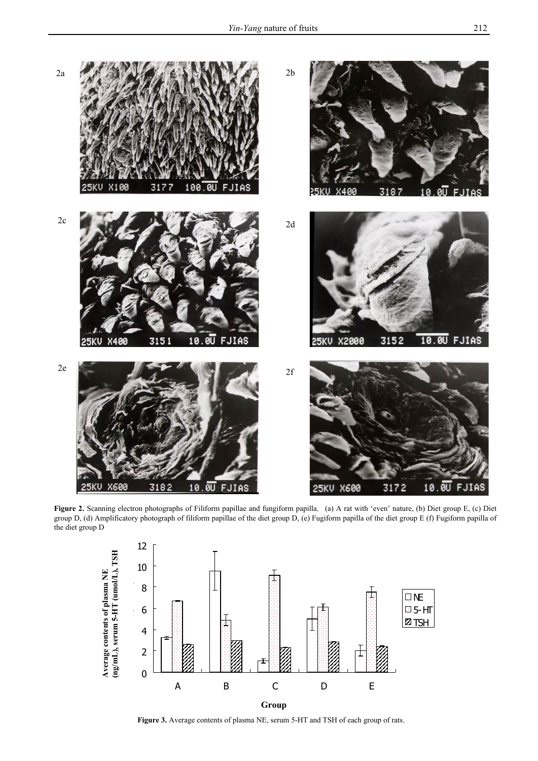

Figure 2. Scanning electron photographs of Filiform papillae and fungiform papilla. (a) A rat with 'even' nature, (b) Diet group E, (c) Diet group D, (d) Amplificatory photograph of filiform papillae of the diet group D, (e) Fugiform papilla of the diet group E (f) Fugiform papilla of the diet group D



**Figure 3.** Average contents of plasma NE, serum 5-HT and TSH of each group of rats.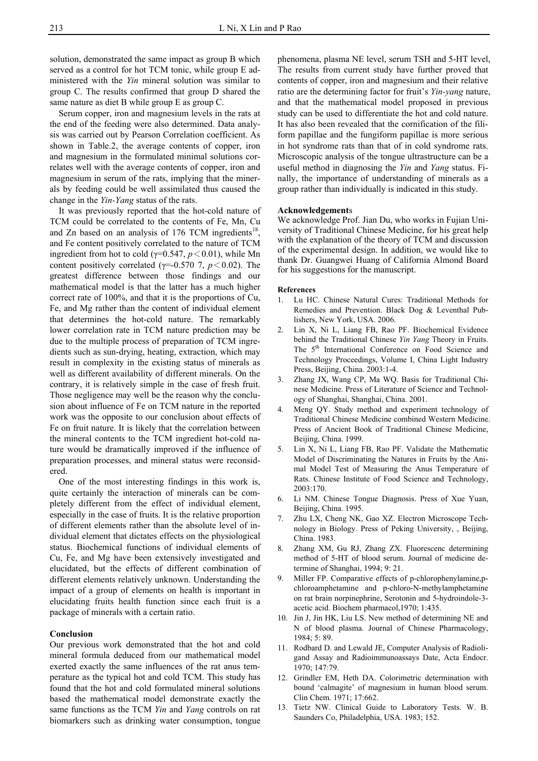solution, demonstrated the same impact as group B which served as a control for hot TCM tonic, while group E administered with the *Yin* mineral solution was similar to group C. The results confirmed that group D shared the same nature as diet B while group E as group C.

 Serum copper, iron and magnesium levels in the rats at the end of the feeding were also determined. Data analysis was carried out by Pearson Correlation coefficient. As shown in Table.2, the average contents of copper, iron and magnesium in the formulated minimal solutions correlates well with the average contents of copper, iron and magnesium in serum of the rats, implying that the minerals by feeding could be well assimilated thus caused the change in the *Yin-Yang* status of the rats.

 It was previously reported that the hot-cold nature of TCM could be correlated to the contents of Fe, Mn, Cu and Zn based on an analysis of 176 TCM ingredients<sup>18</sup>, and Fe content positively correlated to the nature of TCM ingredient from hot to cold ( $\gamma$ =0.547,  $p$  < 0.01), while Mn content positively correlated ( $\gamma$ =-0.570 7, *p*<0.02). The greatest difference between those findings and our mathematical model is that the latter has a much higher correct rate of 100%, and that it is the proportions of Cu, Fe, and Mg rather than the content of individual element that determines the hot-cold nature. The remarkably lower correlation rate in TCM nature prediction may be due to the multiple process of preparation of TCM ingredients such as sun-drying, heating, extraction, which may result in complexity in the existing status of minerals as well as different availability of different minerals. On the contrary, it is relatively simple in the case of fresh fruit. Those negligence may well be the reason why the conclusion about influence of Fe on TCM nature in the reported work was the opposite to our conclusion about effects of Fe on fruit nature. It is likely that the correlation between the mineral contents to the TCM ingredient hot-cold nature would be dramatically improved if the influence of preparation processes, and mineral status were reconsidered.

 One of the most interesting findings in this work is, quite certainly the interaction of minerals can be completely different from the effect of individual element, especially in the case of fruits. It is the relative proportion of different elements rather than the absolute level of individual element that dictates effects on the physiological status. Biochemical functions of individual elements of Cu, Fe, and Mg have been extensively investigated and elucidated, but the effects of different combination of different elements relatively unknown. Understanding the impact of a group of elements on health is important in elucidating fruits health function since each fruit is a package of minerals with a certain ratio.

#### **Conclusion**

Our previous work demonstrated that the hot and cold mineral formula deduced from our mathematical model exerted exactly the same influences of the rat anus temperature as the typical hot and cold TCM. This study has found that the hot and cold formulated mineral solutions based the mathematical model demonstrate exactly the same functions as the TCM *Yin* and *Yang* controls on rat biomarkers such as drinking water consumption, tongue phenomena, plasma NE level, serum TSH and 5-HT level, The results from current study have further proved that contents of copper, iron and magnesium and their relative ratio are the determining factor for fruit's *Yin-yang* nature, and that the mathematical model proposed in previous study can be used to differentiate the hot and cold nature. It has also been revealed that the cornification of the filiform papillae and the fungiform papillae is more serious in hot syndrome rats than that of in cold syndrome rats. Microscopic analysis of the tongue ultrastructure can be a useful method in diagnosing the *Yin* and *Yang* status. Finally, the importance of understanding of minerals as a group rather than individually is indicated in this study.

#### **Acknowledgement**s

We acknowledge Prof. Jian Du, who works in Fujian University of Traditional Chinese Medicine, for his great help with the explanation of the theory of TCM and discussion of the experimental design. In addition, we would like to thank Dr. Guangwei Huang of California Almond Board for his suggestions for the manuscript.

#### **References**

- 1. Lu HC. Chinese Natural Cures: Traditional Methods for Remedies and Prevention. Black Dog & Leventhal Publishers, New York, USA. 2006.
- 2. Lin X, Ni L, Liang FB, Rao PF. Biochemical Evidence behind the Traditional Chinese *Yin Yang* Theory in Fruits. The 5<sup>th</sup> International Conference on Food Science and Technology Proceedings, Volume I, China Light Industry Press, Beijing, China. 2003:1-4.
- Zhang JX, Wang CP, Ma WQ. Basis for Traditional Chinese Medicine. Press of Literature of Science and Technology of Shanghai, Shanghai, China. 2001.
- 4. Meng QY. Study method and experiment technology of Traditional Chinese Medicine combined Western Medicine. Press of Ancient Book of Traditional Chinese Medicine, Beijing, China. 1999.
- 5. Lin X, Ni L, Liang FB, Rao PF. Validate the Mathematic Model of Discriminating the Natures in Fruits by the Animal Model Test of Measuring the Anus Temperature of Rats. Chinese Institute of Food Science and Technology, 2003:170.
- 6. Li NM. Chinese Tongue Diagnosis. Press of Xue Yuan, Beijing, China. 1995.
- 7. Zhu LX, Cheng NK, Gao XZ. Electron Microscope Technology in Biology. Press of Peking University, , Beijing, China. 1983.
- 8. Zhang XM, Gu RJ, Zhang ZX. Fluorescenc determining method of 5-HT of blood serum. Journal of medicine determine of Shanghai, 1994; 9: 21.
- 9. Miller FP. Comparative effects of p-chlorophenylamine,pchloroamphetamine and p-chloro-N-methylamphetamine on rat brain norpinephrine, Serotonin and 5-hydroindole-3 acetic acid. Biochem pharmacol,1970; 1:435.
- 10. Jin J, Jin HK, Liu LS. New method of determining NE and N of blood plasma. Journal of Chinese Pharmacology, 1984; 5: 89.
- 11. Rodbard D. and Lewald JE, Computer Analysis of Radioligand Assay and Radioimmunoassays Date, Acta Endocr. 1970; 147:79.
- 12. Grindler EM, Heth DA. Colorimetric determination with bound 'calmagite' of magnesium in human blood serum. Clin Chem. 1971; 17:662.
- 13. Tietz NW. Clinical Guide to Laboratory Tests. W. B. Saunders Co, Philadelphia, USA. 1983; 152.